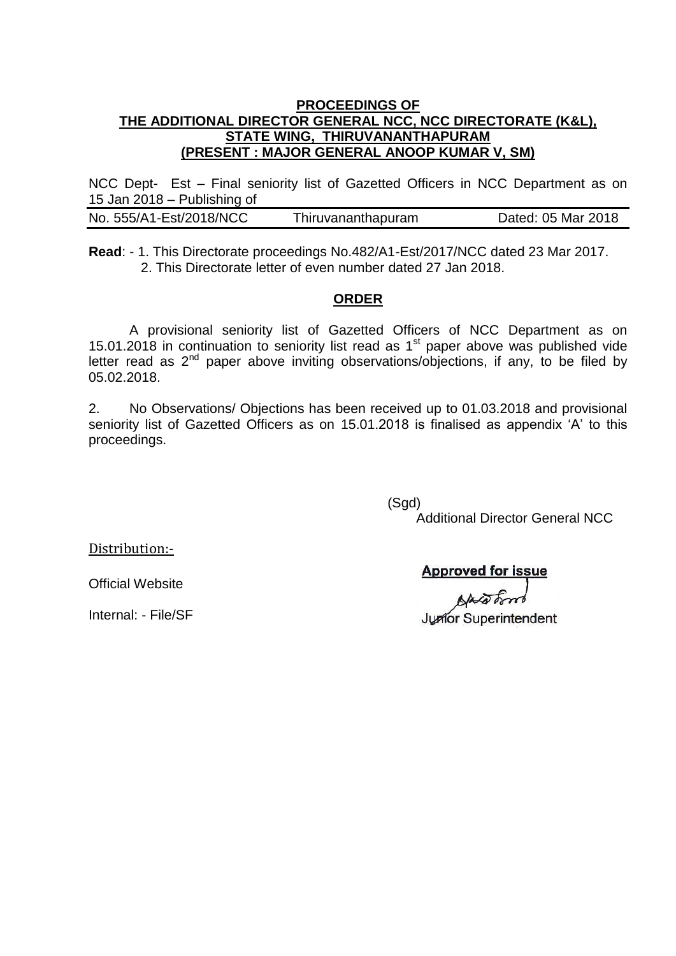#### **PROCEEDINGS OF THE ADDITIONAL DIRECTOR GENERAL NCC, NCC DIRECTORATE (K&L), STATE WING, THIRUVANANTHAPURAM (PRESENT : MAJOR GENERAL ANOOP KUMAR V, SM)**

NCC Dept- Est – Final seniority list of Gazetted Officers in NCC Department as on 15 Jan 2018 – Publishing of

| No. 555/A1-Est/2018/NCC | Thiruvananthapuram | Dated: 05 Mar 2018 |
|-------------------------|--------------------|--------------------|
|                         |                    |                    |

**Read**: - 1. This Directorate proceedings No.482/A1-Est/2017/NCC dated 23 Mar 2017. 2. This Directorate letter of even number dated 27 Jan 2018.

#### **ORDER**

A provisional seniority list of Gazetted Officers of NCC Department as on 15.01.2018 in continuation to seniority list read as  $1<sup>st</sup>$  paper above was published vide letter read as  $2<sup>nd</sup>$  paper above inviting observations/objections, if any, to be filed by 05.02.2018.

2. No Observations/ Objections has been received up to 01.03.2018 and provisional seniority list of Gazetted Officers as on 15.01.2018 is finalised as appendix "A" to this proceedings.

(Sgd)

Additional Director General NCC

Distribution:-

**Approved for issue** 

Junfor Superintendent

Official Website

Internal: - File/SF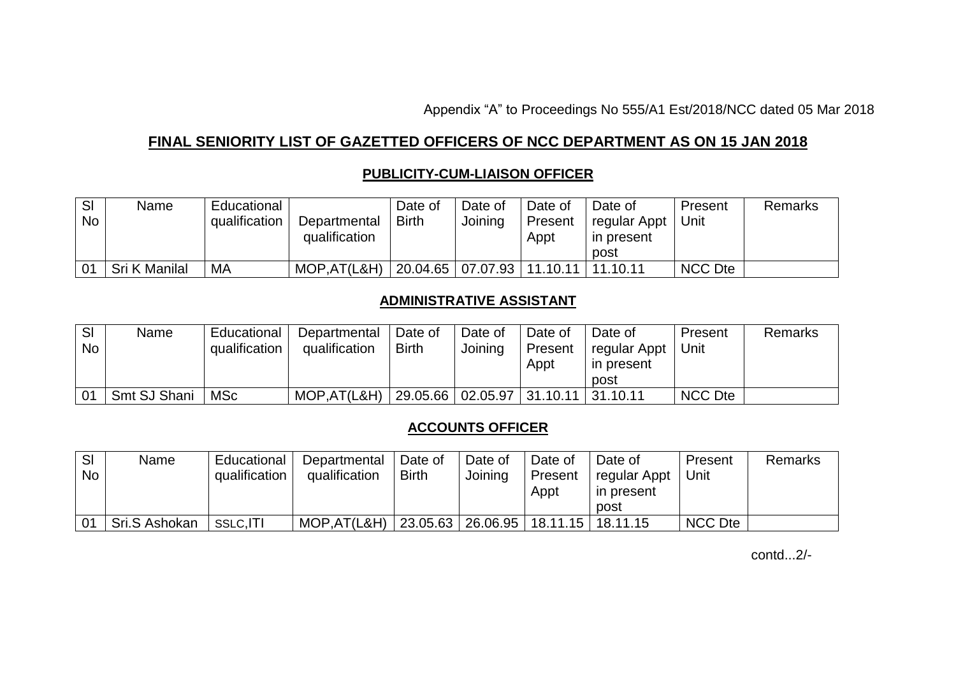Appendix "A" to Proceedings No 555/A1 Est/2018/NCC dated 05 Mar 2018

# **FINAL SENIORITY LIST OF GAZETTED OFFICERS OF NCC DEPARTMENT AS ON 15 JAN 2018**

## **PUBLICITY-CUM-LIAISON OFFICER**

| SI<br><b>No</b> | Name          | Educational<br>qualification | Departmental<br>qualification | Date of<br><b>Birth</b> | Date of<br>Joining | Date of<br>Present<br>Appt     | Date of<br>regular Appt<br>in present | Present<br>Unit | <b>Remarks</b> |
|-----------------|---------------|------------------------------|-------------------------------|-------------------------|--------------------|--------------------------------|---------------------------------------|-----------------|----------------|
|                 |               |                              |                               |                         |                    |                                | post                                  |                 |                |
| 0 <sub>1</sub>  | Sri K Manilal | MA                           | MOP, AT (L&H)                 |                         |                    | 20.04.65   07.07.93   11.10.11 | 11.10.11                              | <b>NCC Dte</b>  |                |

### **ADMINISTRATIVE ASSISTANT**

| SI<br><b>No</b> | Name         | Educational<br>qualification | Departmental<br>qualification | Date of<br><b>Birth</b> | Date of<br>Joining             | Date of<br>Present<br>Appt | Date of<br>regular Appt<br>in present<br>post | Present<br>Unit | Remarks |
|-----------------|--------------|------------------------------|-------------------------------|-------------------------|--------------------------------|----------------------------|-----------------------------------------------|-----------------|---------|
| 01              | Smt SJ Shani | <b>MSc</b>                   | MOP, AT (L&H)                 |                         | 29.05.66   02.05.97   31.10.11 |                            | 31.10.11                                      | <b>NCC Dte</b>  |         |

## **ACCOUNTS OFFICER**

| SI        | Name          | Educational   | Departmental  | Date of      | Date of   | Date of  | Date of      | Present | Remarks |
|-----------|---------------|---------------|---------------|--------------|-----------|----------|--------------|---------|---------|
| <b>No</b> |               | qualification | qualification | <b>Birth</b> | Joining   | Present  | regular Appt | Jnit    |         |
|           |               |               |               |              |           | Appt     | in present   |         |         |
|           |               |               |               |              |           |          | post         |         |         |
| 01        | Sri.S Ashokan | SSLC, ITI     | MOP, AT (L&H) | 23.05.63     | 126.06.95 | 18.11.15 | 18.11.15     | NCC Dte |         |

contd...2/-